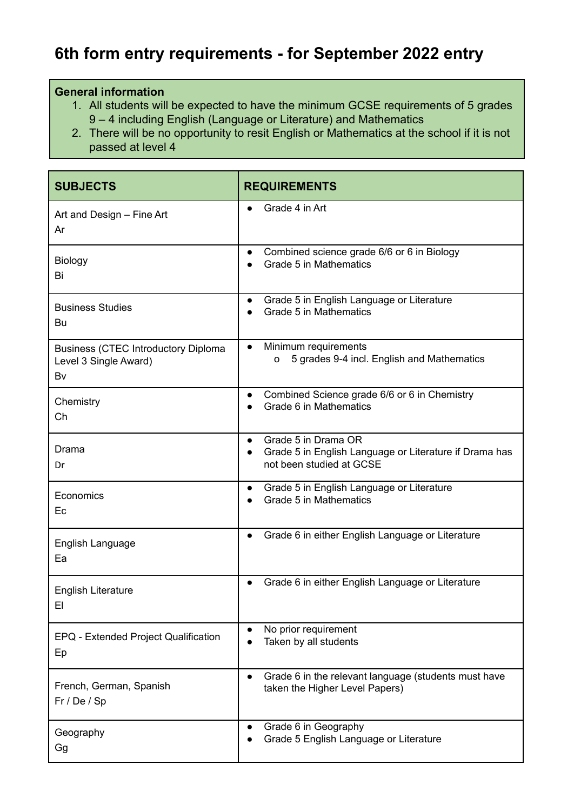## **6th form entry requirements - for September 2022 entry**

## **General information**

- 1. All students will be expected to have the minimum GCSE requirements of 5 grades 9 – 4 including English (Language or Literature) and Mathematics
- 2. There will be no opportunity to resit English or Mathematics at the school if it is not passed at level 4

| <b>SUBJECTS</b>                                                           | <b>REQUIREMENTS</b>                                                                                                                 |
|---------------------------------------------------------------------------|-------------------------------------------------------------------------------------------------------------------------------------|
| Art and Design - Fine Art<br>Ar                                           | Grade 4 in Art                                                                                                                      |
| <b>Biology</b><br>Bi                                                      | Combined science grade 6/6 or 6 in Biology<br>$\bullet$<br>Grade 5 in Mathematics                                                   |
| <b>Business Studies</b><br>Bu                                             | Grade 5 in English Language or Literature<br>$\bullet$<br>Grade 5 in Mathematics                                                    |
| <b>Business (CTEC Introductory Diploma</b><br>Level 3 Single Award)<br>Bv | Minimum requirements<br>$\bullet$<br>5 grades 9-4 incl. English and Mathematics<br>0                                                |
| Chemistry<br>Ch                                                           | Combined Science grade 6/6 or 6 in Chemistry<br>$\bullet$<br>Grade 6 in Mathematics                                                 |
| Drama<br>Dr                                                               | Grade 5 in Drama OR<br>$\bullet$<br>Grade 5 in English Language or Literature if Drama has<br>$\bullet$<br>not been studied at GCSE |
| Economics<br>Ec                                                           | Grade 5 in English Language or Literature<br>$\bullet$<br>Grade 5 in Mathematics                                                    |
| English Language<br>Ea                                                    | Grade 6 in either English Language or Literature<br>$\bullet$                                                                       |
| <b>English Literature</b><br>EI                                           | Grade 6 in either English Language or Literature                                                                                    |
| EPQ - Extended Project Qualification<br>Ep                                | No prior requirement<br>Taken by all students                                                                                       |
| French, German, Spanish<br>Fr / De / Sp                                   | Grade 6 in the relevant language (students must have<br>$\bullet$<br>taken the Higher Level Papers)                                 |
| Geography<br>Gg                                                           | Grade 6 in Geography<br>$\bullet$<br>Grade 5 English Language or Literature                                                         |